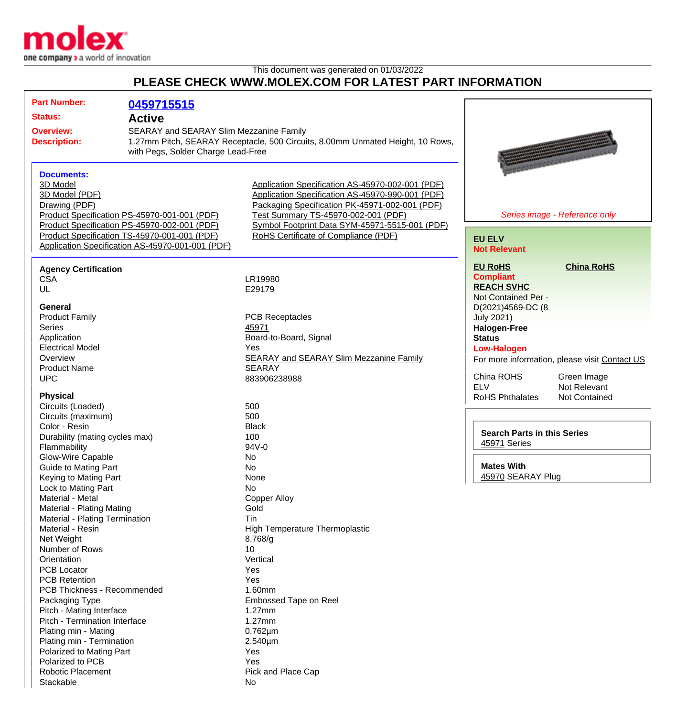

This document was generated on 01/03/2022

## **PLEASE CHECK WWW.MOLEX.COM FOR LATEST PART INFORMATION**

| <b>Part Number:</b>                                                                              | 0459715515                                   |                                                                                |                                    |                                               |
|--------------------------------------------------------------------------------------------------|----------------------------------------------|--------------------------------------------------------------------------------|------------------------------------|-----------------------------------------------|
| <b>Status:</b>                                                                                   | <b>Active</b>                                |                                                                                |                                    |                                               |
|                                                                                                  |                                              |                                                                                |                                    |                                               |
| <b>Overview:</b><br>SEARAY and SEARAY Slim Mezzanine Family                                      |                                              |                                                                                |                                    |                                               |
| <b>Description:</b>                                                                              |                                              | 1.27mm Pitch, SEARAY Receptacle, 500 Circuits, 8.00mm Unmated Height, 10 Rows, |                                    |                                               |
|                                                                                                  | with Pegs, Solder Charge Lead-Free           |                                                                                |                                    |                                               |
|                                                                                                  |                                              |                                                                                |                                    |                                               |
| <b>Documents:</b>                                                                                |                                              |                                                                                |                                    |                                               |
| 3D Model                                                                                         |                                              | Application Specification AS-45970-002-001 (PDF)                               |                                    |                                               |
| 3D Model (PDF)                                                                                   |                                              | Application Specification AS-45970-990-001 (PDF)                               |                                    |                                               |
| Drawing (PDF)                                                                                    |                                              | Packaging Specification PK-45971-002-001 (PDF)                                 |                                    |                                               |
|                                                                                                  | Product Specification PS-45970-001-001 (PDF) | Test Summary TS-45970-002-001 (PDF)                                            |                                    | Series image - Reference only                 |
|                                                                                                  | Product Specification PS-45970-002-001 (PDF) | Symbol Footprint Data SYM-45971-5515-001 (PDF)                                 |                                    |                                               |
| Product Specification TS-45970-001-001 (PDF)<br>Application Specification AS-45970-001-001 (PDF) |                                              | RoHS Certificate of Compliance (PDF)                                           | <b>EU ELV</b>                      |                                               |
|                                                                                                  |                                              |                                                                                | <b>Not Relevant</b>                |                                               |
| <b>Agency Certification</b>                                                                      |                                              |                                                                                | <b>EU RoHS</b>                     | <b>China RoHS</b>                             |
| <b>CSA</b>                                                                                       |                                              | LR19980                                                                        | <b>Compliant</b>                   |                                               |
| UL                                                                                               |                                              | E29179                                                                         | <b>REACH SVHC</b>                  |                                               |
|                                                                                                  |                                              |                                                                                | Not Contained Per -                |                                               |
| <b>General</b>                                                                                   |                                              |                                                                                | D(2021)4569-DC (8                  |                                               |
| <b>Product Family</b>                                                                            |                                              | <b>PCB Receptacles</b>                                                         | <b>July 2021)</b>                  |                                               |
| <b>Series</b>                                                                                    |                                              | 45971                                                                          | <b>Halogen-Free</b>                |                                               |
| Application                                                                                      |                                              | Board-to-Board, Signal                                                         | <b>Status</b>                      |                                               |
| <b>Electrical Model</b>                                                                          |                                              | Yes                                                                            | <b>Low-Halogen</b>                 |                                               |
| Overview                                                                                         |                                              | <b>SEARAY and SEARAY Slim Mezzanine Family</b>                                 |                                    | For more information, please visit Contact US |
| <b>Product Name</b>                                                                              |                                              | <b>SEARAY</b>                                                                  |                                    |                                               |
| <b>UPC</b>                                                                                       |                                              | 883906238988                                                                   | China ROHS                         | Green Image                                   |
|                                                                                                  |                                              |                                                                                | <b>ELV</b>                         | Not Relevant                                  |
| <b>Physical</b>                                                                                  |                                              |                                                                                | <b>RoHS Phthalates</b>             | Not Contained                                 |
| Circuits (Loaded)                                                                                |                                              | 500                                                                            |                                    |                                               |
| Circuits (maximum)                                                                               |                                              | 500                                                                            |                                    |                                               |
| Color - Resin                                                                                    |                                              | <b>Black</b>                                                                   |                                    |                                               |
| Durability (mating cycles max)                                                                   |                                              | 100                                                                            | <b>Search Parts in this Series</b> |                                               |
| Flammability                                                                                     |                                              | 94V-0                                                                          | 45971 Series                       |                                               |
| <b>Glow-Wire Capable</b>                                                                         |                                              | No                                                                             |                                    |                                               |
| <b>Guide to Mating Part</b>                                                                      |                                              | No                                                                             | <b>Mates With</b>                  |                                               |
| Keying to Mating Part                                                                            |                                              | None                                                                           | 45970 SEARAY Plug                  |                                               |
| Lock to Mating Part                                                                              |                                              | No                                                                             |                                    |                                               |
| Material - Metal                                                                                 |                                              | <b>Copper Alloy</b>                                                            |                                    |                                               |
| <b>Material - Plating Mating</b>                                                                 |                                              | Gold                                                                           |                                    |                                               |
| Material - Plating Termination                                                                   |                                              | <b>Tin</b>                                                                     |                                    |                                               |
| Material - Resin                                                                                 |                                              | High Temperature Thermoplastic                                                 |                                    |                                               |
| Net Weight                                                                                       |                                              | 8.768/g                                                                        |                                    |                                               |
| Number of Rows                                                                                   |                                              | 10                                                                             |                                    |                                               |
| Orientation                                                                                      |                                              | Vertical                                                                       |                                    |                                               |
| <b>PCB Locator</b>                                                                               |                                              | Yes                                                                            |                                    |                                               |
| <b>PCB Retention</b>                                                                             |                                              | Yes                                                                            |                                    |                                               |
| PCB Thickness - Recommended                                                                      |                                              | 1.60mm                                                                         |                                    |                                               |
| Packaging Type                                                                                   |                                              | <b>Embossed Tape on Reel</b>                                                   |                                    |                                               |
| Pitch - Mating Interface                                                                         |                                              | 1.27mm                                                                         |                                    |                                               |
| Pitch - Termination Interface                                                                    |                                              | 1.27mm                                                                         |                                    |                                               |
| Plating min - Mating                                                                             |                                              | $0.762 \mu m$                                                                  |                                    |                                               |
| Plating min - Termination                                                                        |                                              | 2.540µm                                                                        |                                    |                                               |
| Polarized to Mating Part                                                                         |                                              | Yes                                                                            |                                    |                                               |
| Polarized to PCB                                                                                 |                                              | Yes                                                                            |                                    |                                               |
| <b>Robotic Placement</b>                                                                         |                                              | Pick and Place Cap                                                             |                                    |                                               |
| Stackable                                                                                        |                                              | No                                                                             |                                    |                                               |
|                                                                                                  |                                              |                                                                                |                                    |                                               |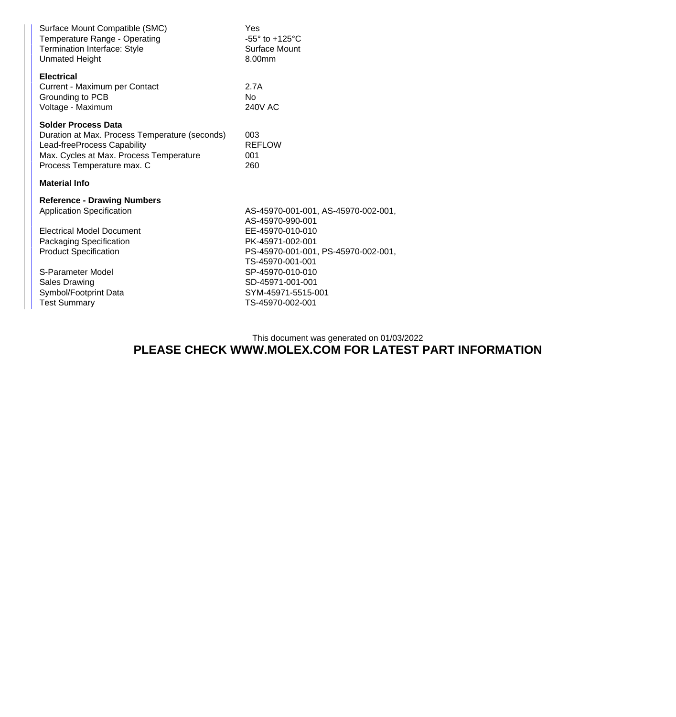| Yes<br>$-55^\circ$ to $+125^\circ$ C<br>Surface Mount<br>8.00mm                                 |  |
|-------------------------------------------------------------------------------------------------|--|
| 2.7A<br>No<br><b>240V AC</b>                                                                    |  |
| 003<br><b>REFLOW</b><br>001<br>260                                                              |  |
|                                                                                                 |  |
| AS-45970-001-001, AS-45970-002-001,<br>AS-45970-990-001                                         |  |
| EE-45970-010-010<br>PK-45971-002-001<br>PS-45970-001-001, PS-45970-002-001,<br>TS-45970-001-001 |  |
| SP-45970-010-010<br>SD-45971-001-001<br>SYM-45971-5515-001<br>TS-45970-002-001                  |  |
|                                                                                                 |  |

This document was generated on 01/03/2022

## **PLEASE CHECK WWW.MOLEX.COM FOR LATEST PART INFORMATION**